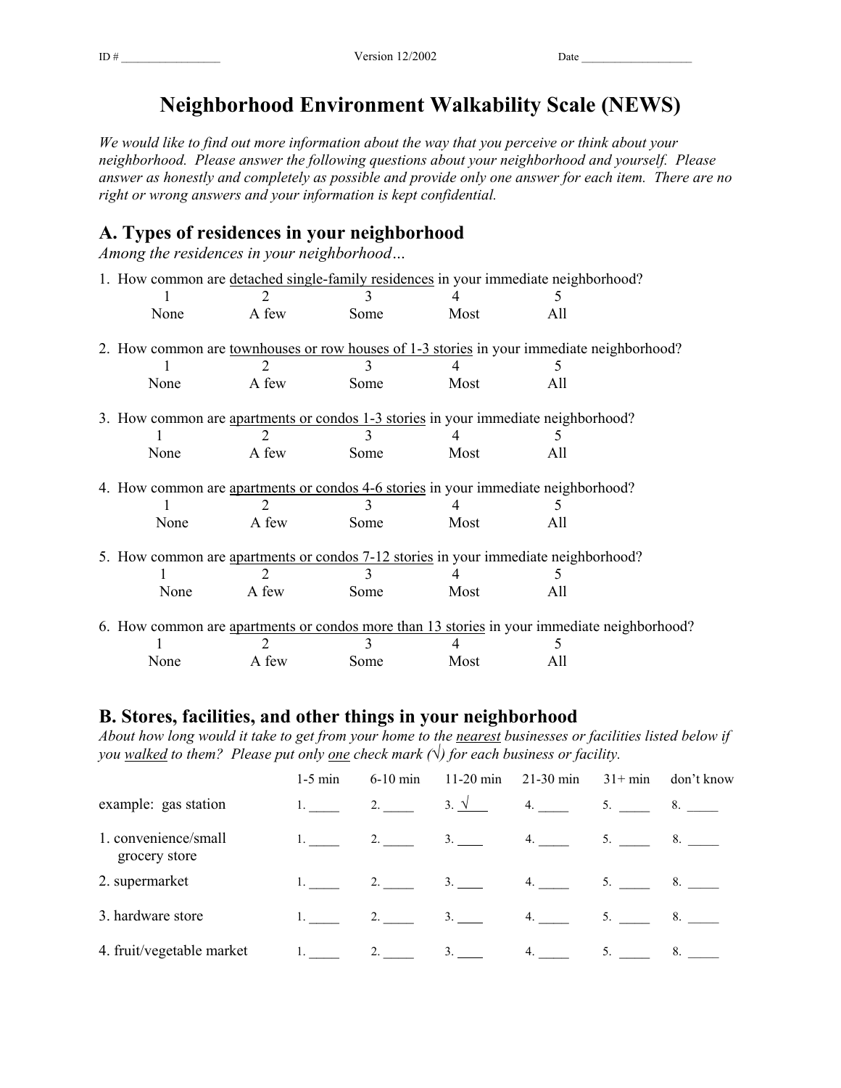## **Neighborhood Environment Walkability Scale (NEWS)**

*We would like to find out more information about the way that you perceive or think about your neighborhood. Please answer the following questions about your neighborhood and yourself. Please answer as honestly and completely as possible and provide only one answer for each item. There are no right or wrong answers and your information is kept confidential.*

## **A. Types of residences in your neighborhood**

*Among the residences in your neighborhood…* 

| 1. How common are detached single-family residences in your immediate neighborhood? |               |      |      |                                                                                                  |  |
|-------------------------------------------------------------------------------------|---------------|------|------|--------------------------------------------------------------------------------------------------|--|
|                                                                                     |               |      | 4    |                                                                                                  |  |
| None                                                                                | A few         | Some | Most | All                                                                                              |  |
|                                                                                     |               |      |      |                                                                                                  |  |
|                                                                                     |               |      |      | 2. How common are <u>townhouses or row houses of 1-3 stories</u> in your immediate neighborhood? |  |
|                                                                                     |               |      |      |                                                                                                  |  |
| None                                                                                | A few         | Some | Most | All                                                                                              |  |
|                                                                                     |               |      |      |                                                                                                  |  |
|                                                                                     |               |      |      | 3. How common are apartments or condos 1-3 stories in your immediate neighborhood?               |  |
|                                                                                     |               |      | 4    |                                                                                                  |  |
| None                                                                                | A few         | Some | Most | All                                                                                              |  |
|                                                                                     |               |      |      |                                                                                                  |  |
|                                                                                     |               |      |      | 4. How common are apartments or condos 4-6 stories in your immediate neighborhood?               |  |
|                                                                                     | $\mathcal{L}$ |      | 4    | 5                                                                                                |  |
| None                                                                                | A few         | Some | Most | All                                                                                              |  |
|                                                                                     |               |      |      |                                                                                                  |  |
|                                                                                     |               |      |      | 5. How common are apartments or condos 7-12 stories in your immediate neighborhood?              |  |
|                                                                                     | $\mathcal{L}$ | 3    | 4    | ć                                                                                                |  |
| None                                                                                | A few         | Some | Most | All                                                                                              |  |
|                                                                                     |               |      |      |                                                                                                  |  |
|                                                                                     |               |      |      | 6. How common are apartments or condos more than 13 stories in your immediate neighborhood?      |  |
|                                                                                     |               | 3    |      | 5                                                                                                |  |
|                                                                                     |               |      |      |                                                                                                  |  |

# None A few Some Most All

### **B. Stores, facilities, and other things in your neighborhood**

*About how long would it take to get from your home to the nearest businesses or facilities listed below if you walked to them? Please put only one check mark (√) for each business or facility.* 

|                                       | $1-5$ min | $6-10$ min     | $11-20$ min    | $21-30$ min | $31+ min$ | don't know |
|---------------------------------------|-----------|----------------|----------------|-------------|-----------|------------|
| example: gas station                  |           | 2.             | $3. \sqrt{ }$  | 4.          | 5.        | 8.         |
| 1. convenience/small<br>grocery store |           | 2.             | 3.             | 4.          | 5.        | 8.         |
| 2. supermarket                        |           | 2 <sup>1</sup> | 3 <sub>1</sub> | 4.          | 5.        | 8.         |
| 3. hardware store                     |           | 2 <sub>1</sub> | 3.             | 4.          | 5.        |            |
| 4. fruit/vegetable market             |           | 2.             | $\mathcal{L}$  | 4.          | 5.        | 8.         |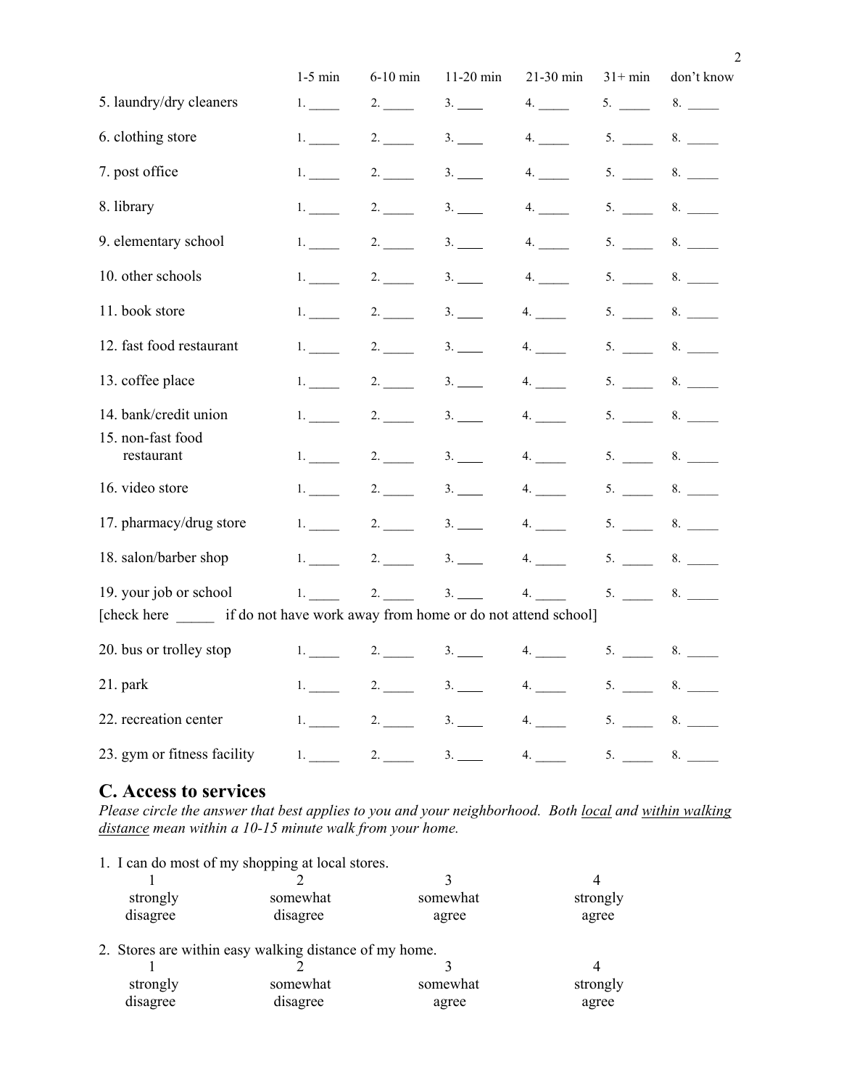|                                                                                                            | $1-5$ min            | $6-10$ min | $11-20$ min | 21-30 min     | $31+ min$ | don't know                                                |
|------------------------------------------------------------------------------------------------------------|----------------------|------------|-------------|---------------|-----------|-----------------------------------------------------------|
| 5. laundry/dry cleaners                                                                                    | 1.                   | 2.         | 3.          | 4.            | 5.        | 8.                                                        |
| 6. clothing store                                                                                          | 1. $\qquad$          | 2.         | 3.          | 4.            |           | 5. 8.                                                     |
| 7. post office                                                                                             | 1.                   | 2.         | 3.          | 4.            |           | $5. \_ 8. \_$                                             |
| 8. library                                                                                                 | 1. $\qquad$          | 2.         | 3.          | 4.            |           | 5. 8.                                                     |
| 9. elementary school                                                                                       | 1.                   | 2.         | 3.          | 4.            |           | $5. \_ 8. \_$                                             |
| 10. other schools                                                                                          | 1.                   | 2.         | 3.          | 4.            |           | $5. \_ 8. \_$                                             |
| 11. book store                                                                                             | 1.                   | 2.         | 3.          | 4.            |           | $5. \underline{\hspace{1cm}} 8. \underline{\hspace{1cm}}$ |
| 12. fast food restaurant                                                                                   | $1.$ $\blacksquare$  | 2.         | 3.          | 4.            |           | $5. \_ 8. \_$                                             |
| 13. coffee place                                                                                           | 1.                   | 2.         | 3.          | 4.            |           | $5. \_ 8. \_$                                             |
| 14. bank/credit union                                                                                      | 1.                   | 2.         | 3.          | 4.            |           | $5. \_ 8. \_$                                             |
| 15. non-fast food<br>restaurant                                                                            | $1.$ $\qquad \qquad$ | 2.         | 3.          | 4.            |           | $5. \_ 8. \_$                                             |
| 16. video store                                                                                            | 1.                   | 2.         | 3.          | 4.            |           | $5. \underline{\hspace{1cm}} 8. \underline{\hspace{1cm}}$ |
| 17. pharmacy/drug store                                                                                    | 1.                   |            | 2. $3.$     | 4.            |           | $5.$ 8.                                                   |
| 18. salon/barber shop                                                                                      | 1.                   | 2.         | 3.          | 4.            |           | $5. \underline{\hspace{1cm}} 8. \underline{\hspace{1cm}}$ |
| 19. your job or school<br>[check here ________ if do not have work away from home or do not attend school] | 1.                   | 2.         | 3.          | 4.            |           | $5. \underline{\hspace{1cm}} 8. \underline{\hspace{1cm}}$ |
| 20. bus or trolley stop                                                                                    |                      |            |             | $3.$ 4. 5. 8. |           |                                                           |
| 21. park                                                                                                   | 1.                   | 2.         | 3.          | 4.            | 5.        | 8.                                                        |
| 22. recreation center                                                                                      | 1.                   | 2.         | 3.          | 4.            | 5.        | 8.                                                        |
| 23. gym or fitness facility                                                                                | 1.                   | 2.         | 3.          | 4.            | 5.        | 8.                                                        |

## **C. Access to services**

*Please circle the answer that best applies to you and your neighborhood. Both local and within walking distance mean within a 10-15 minute walk from your home.* 

1. I can do most of my shopping at local stores.

| strongly | somewhat | somewhat | strongly |
|----------|----------|----------|----------|
| disagree | disagree | agree    | agree    |

2. Stores are within easy walking distance of my home.

| strongly | somewhat | somewhat | strongly |
|----------|----------|----------|----------|
| disagree | disagree | agree    | agree    |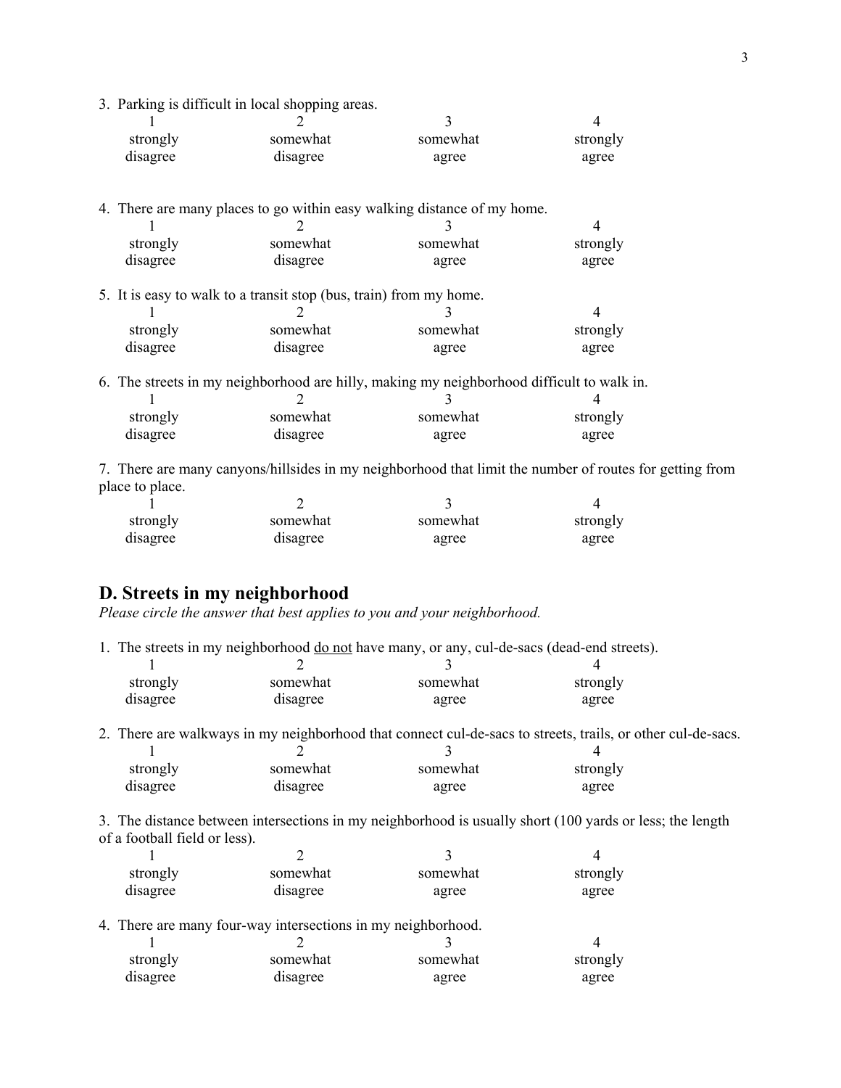|          | 3. Parking is difficult in local shopping areas.                                          |          |          |
|----------|-------------------------------------------------------------------------------------------|----------|----------|
|          |                                                                                           | 3        | 4        |
| strongly | somewhat                                                                                  | somewhat | strongly |
| disagree | disagree                                                                                  | agree    | agree    |
|          | 4. There are many places to go within easy walking distance of my home.                   |          |          |
|          | 2                                                                                         | 3        | 4        |
| strongly | somewhat                                                                                  | somewhat | strongly |
| disagree | disagree                                                                                  | agree    | agree    |
|          | 5. It is easy to walk to a transit stop (bus, train) from my home.                        |          |          |
|          |                                                                                           |          | 4        |
| strongly | somewhat                                                                                  | somewhat | strongly |
| disagree | disagree                                                                                  | agree    | agree    |
|          | 6. The streets in my neighborhood are hilly, making my neighborhood difficult to walk in. |          |          |
|          |                                                                                           |          | 4        |
| strongly | somewhat                                                                                  | somewhat | strongly |
| disagree | disagree                                                                                  | agree    | agree    |

7. There are many canyons/hillsides in my neighborhood that limit the number of routes for getting from place to place.

| strongly | somewhat | somewhat | strongly |
|----------|----------|----------|----------|
| disagree | disagree | agree    | agree    |

### **D. Streets in my neighborhood**

*Please circle the answer that best applies to you and your neighborhood.*

1. The streets in my neighborhood do not have many, or any, cul-de-sacs (dead-end streets).

| strongly | somewhat | somewhat | strongly |
|----------|----------|----------|----------|
| disagree | disagree | agree    | agree    |

2. There are walkways in my neighborhood that connect cul-de-sacs to streets, trails, or other cul-de-sacs. 1 2 3 4 strongly somewhat somewhat somewhat strongly disagree disagree agree agree agree

3. The distance between intersections in my neighborhood is usually short (100 yards or less; the length of a football field or less).

| strongly | somewhat                                                     | somewhat | strongly |
|----------|--------------------------------------------------------------|----------|----------|
| disagree | disagree                                                     | agree    | agree    |
|          | 4. There are many four-way intersections in my neighborhood. |          |          |
|          |                                                              |          |          |
| strongly | somewhat                                                     | somewhat | strongly |
| disagree | disagree                                                     | agree    | agree    |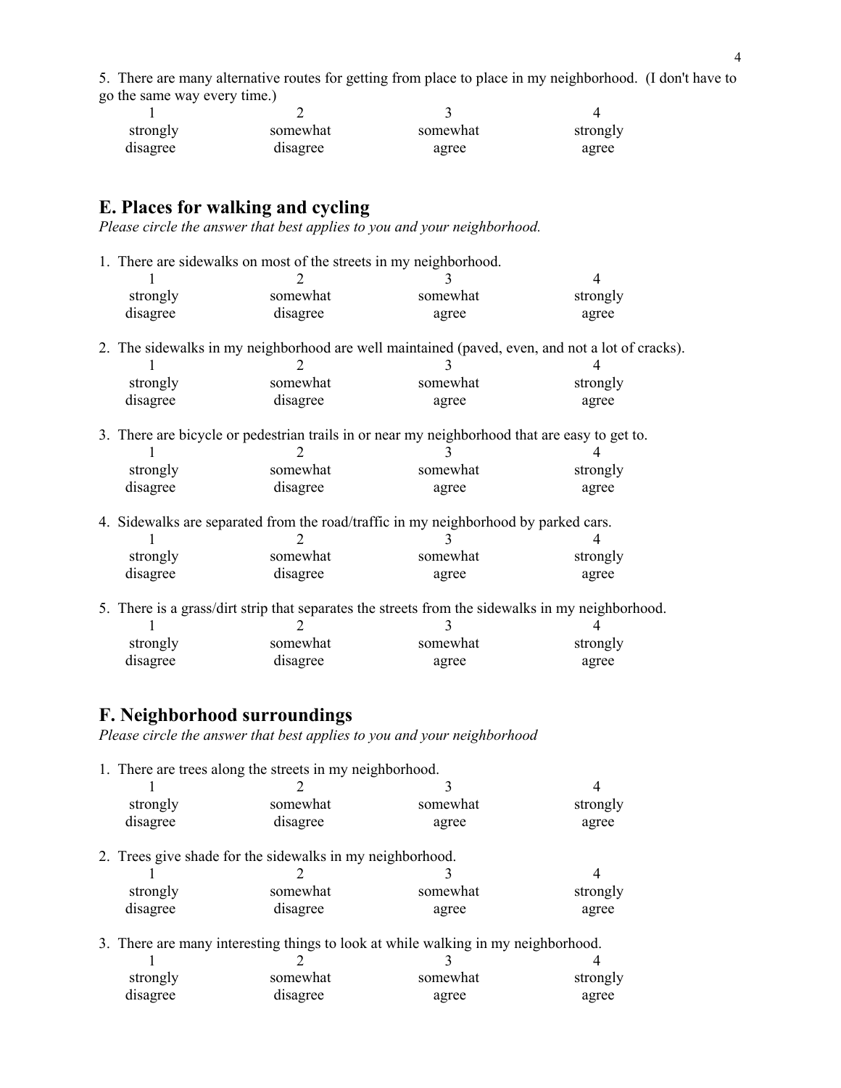5. There are many alternative routes for getting from place to place in my neighborhood. (I don't have to go the same way every time.)

| strongly | somewhat | somewhat | strongly |
|----------|----------|----------|----------|
| disagree | disagree | agree    | agree    |

## **E. Places for walking and cycling**

*Please circle the answer that best applies to you and your neighborhood.* 

| 1. There are sidewalks on most of the streets in my neighborhood. |          |          |          |  |
|-------------------------------------------------------------------|----------|----------|----------|--|
|                                                                   |          |          |          |  |
| strongly                                                          | somewhat | somewhat | strongly |  |
| disagree                                                          | disagree | agree    | agree    |  |

2. The sidewalks in my neighborhood are well maintained (paved, even, and not a lot of cracks). 1 2 3 4

| strongly | somewhat | somewhat | strongly |
|----------|----------|----------|----------|
| disagree | disagree | agree    | agree    |

|          | 3. There are bicycle or pedestrian trails in or near my neighborhood that are easy to get to. |          |          |
|----------|-----------------------------------------------------------------------------------------------|----------|----------|
|          |                                                                                               |          |          |
| strongly | somewhat                                                                                      | somewhat | strongly |
| disagree | disagree                                                                                      | agree    | agree    |

4. Sidewalks are separated from the road/traffic in my neighborhood by parked cars. 1 2 3 4

| strongly | somewhat | somewhat | strongly |
|----------|----------|----------|----------|
| disagree | disagree | agree    | agree    |

5. There is a grass/dirt strip that separates the streets from the sidewalks in my neighborhood. 1 2 3 4 strongly somewhat somewhat somewhat strongly disagree disagree agree agree agree

#### **F. Neighborhood surroundings**

*Please circle the answer that best applies to you and your neighborhood* 

1. There are trees along the streets in my neighborhood.

| strongly | somewhat | somewhat | strongly |
|----------|----------|----------|----------|
| disagree | disagree | agree    | agree    |

2. Trees give shade for the sidewalks in my neighborhood.

| strongly | somewhat | somewhat | strongly |
|----------|----------|----------|----------|
| disagree | disagree | agree    | agree    |

3. There are many interesting things to look at while walking in my neighborhood.

| strongly | somewhat | somewhat | strongly |
|----------|----------|----------|----------|
| disagree | disagree | agree    | agree    |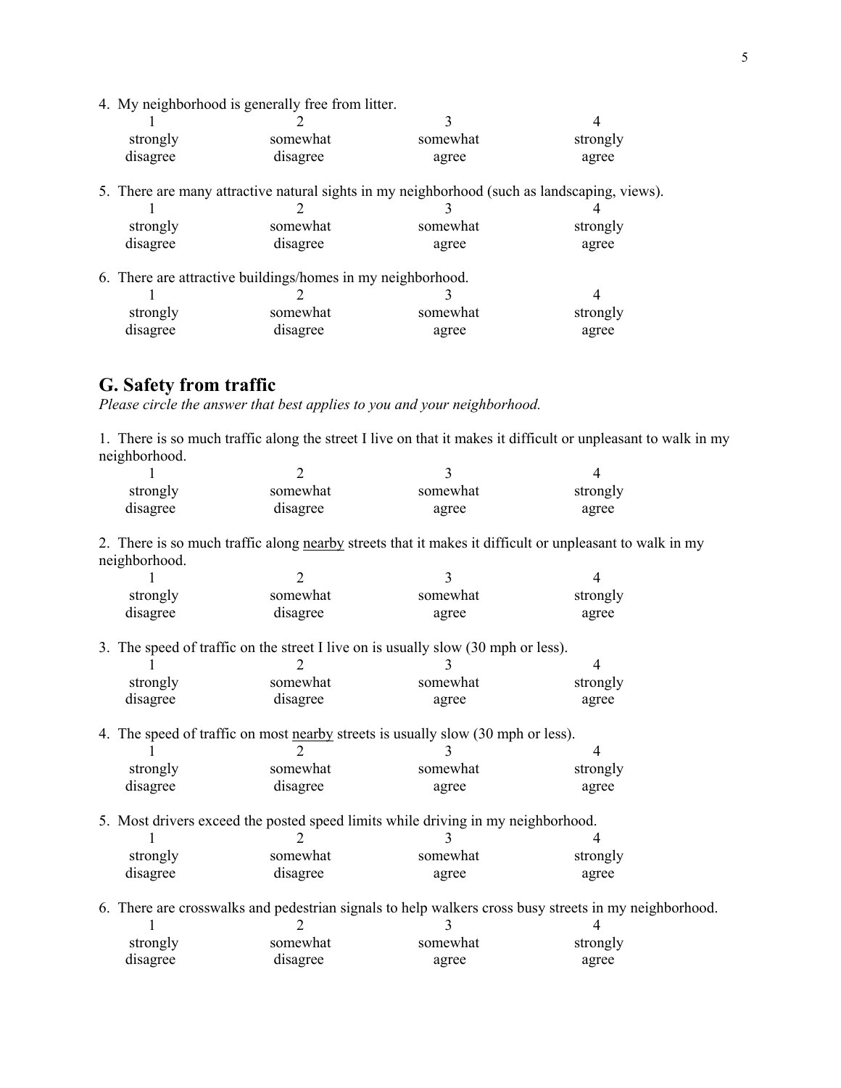| 4. My neighborhood is generally free from litter. |          |                                                                                              |          |          |  |
|---------------------------------------------------|----------|----------------------------------------------------------------------------------------------|----------|----------|--|
|                                                   |          |                                                                                              |          |          |  |
|                                                   | strongly | somewhat                                                                                     | somewhat | strongly |  |
|                                                   | disagree | disagree                                                                                     | agree    | agree    |  |
|                                                   |          | 5. There are many attractive natural sights in my neighborhood (such as landscaping, views). |          |          |  |
|                                                   |          |                                                                                              |          |          |  |
|                                                   | strongly | somewhat                                                                                     | somewhat | strongly |  |
|                                                   | disagree | disagree                                                                                     | agree    | agree    |  |
|                                                   |          | 6. There are attractive buildings/homes in my neighborhood.                                  |          |          |  |
|                                                   |          |                                                                                              |          | 4        |  |
|                                                   | strongly | somewhat                                                                                     | somewhat | strongly |  |
|                                                   | disagree | disagree                                                                                     | agree    | agree    |  |

#### **G. Safety from traffic**

*Please circle the answer that best applies to you and your neighborhood.*

1. There is so much traffic along the street I live on that it makes it difficult or unpleasant to walk in my neighborhood.

| strongly | somewhat | somewhat | strongly |
|----------|----------|----------|----------|
| disagree | disagree | agree    | agree    |

2. There is so much traffic along nearby streets that it makes it difficult or unpleasant to walk in my neighborhood.

| strongly | somewhat | somewhat | strongly |
|----------|----------|----------|----------|
| disagree | disagree | agree    | agree    |

3. The speed of traffic on the street I live on is usually slow (30 mph or less).

| strongly | somewhat | somewhat | strongly |
|----------|----------|----------|----------|
| disagree | disagree | agree    | agree    |

4. The speed of traffic on most <u>nearby</u> streets is usually slow (30 mph or less).<br> $\frac{1}{2}$ 1 2 3 4 strongly somewhat somewhat somewhat strongly

| $5000H + 19$ | <b>SULLYWING</b> | <b>SULLYWING</b> | $\frac{1}{2}$ |
|--------------|------------------|------------------|---------------|
| disagree     | disagree         | agree            | agree         |
|              |                  |                  |               |

|          | 5. Most drivers exceed the posted speed limits while driving in my neighborhood. |          |          |  |  |  |
|----------|----------------------------------------------------------------------------------|----------|----------|--|--|--|
|          |                                                                                  |          |          |  |  |  |
| strongly | somewhat                                                                         | somewhat | strongly |  |  |  |
| disagree | disagree                                                                         | agree    | agree    |  |  |  |

|          |          |          | 6. There are crosswalks and pedestrian signals to help walkers cross busy streets in my neighborhood. |  |
|----------|----------|----------|-------------------------------------------------------------------------------------------------------|--|
|          |          |          |                                                                                                       |  |
| strongly | somewhat | somewhat | strongly                                                                                              |  |
| disagree | disagree | agree    | agree                                                                                                 |  |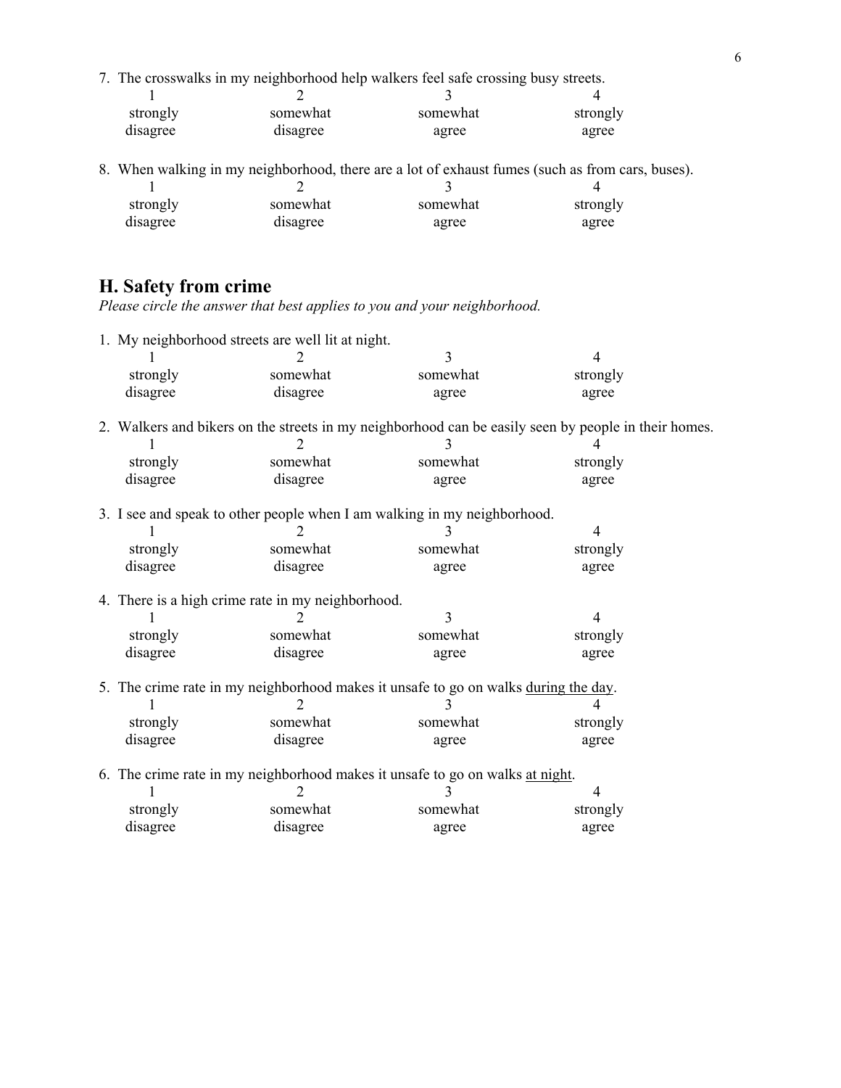7. The crosswalks in my neighborhood help walkers feel safe crossing busy streets.

| strongly | somewhat | somewhat | strongly |
|----------|----------|----------|----------|
| disagree | disagree | agree    | agree    |

8. When walking in my neighborhood, there are a lot of exhaust fumes (such as from cars, buses).

| strongly | somewhat | somewhat | strongly |
|----------|----------|----------|----------|
| disagree | disagree | agree    | agree    |

## **H. Safety from crime**

*Please circle the answer that best applies to you and your neighborhood.* 

|                                                                               | 1. My neighborhood streets are well lit at night.                                                    |                |          |          |  |  |  |
|-------------------------------------------------------------------------------|------------------------------------------------------------------------------------------------------|----------------|----------|----------|--|--|--|
|                                                                               |                                                                                                      |                | 3        | 4        |  |  |  |
|                                                                               | strongly                                                                                             | somewhat       | somewhat | strongly |  |  |  |
|                                                                               | disagree                                                                                             | disagree       | agree    | agree    |  |  |  |
|                                                                               |                                                                                                      |                |          |          |  |  |  |
|                                                                               | 2. Walkers and bikers on the streets in my neighborhood can be easily seen by people in their homes. |                |          |          |  |  |  |
|                                                                               |                                                                                                      |                | 3        |          |  |  |  |
|                                                                               | strongly                                                                                             | somewhat       | somewhat | strongly |  |  |  |
|                                                                               | disagree                                                                                             | disagree       | agree    | agree    |  |  |  |
|                                                                               |                                                                                                      |                |          |          |  |  |  |
|                                                                               | 3. I see and speak to other people when I am walking in my neighborhood.                             |                |          |          |  |  |  |
|                                                                               |                                                                                                      |                |          | 4        |  |  |  |
|                                                                               | strongly                                                                                             | somewhat       | somewhat | strongly |  |  |  |
|                                                                               | disagree                                                                                             | disagree       | agree    | agree    |  |  |  |
|                                                                               |                                                                                                      |                |          |          |  |  |  |
|                                                                               | 4. There is a high crime rate in my neighborhood.                                                    |                |          |          |  |  |  |
|                                                                               | 1                                                                                                    | $\mathfrak{D}$ | 3        | 4        |  |  |  |
|                                                                               | strongly                                                                                             | somewhat       | somewhat | strongly |  |  |  |
|                                                                               | disagree                                                                                             | disagree       | agree    | agree    |  |  |  |
|                                                                               |                                                                                                      |                |          |          |  |  |  |
|                                                                               | 5. The crime rate in my neighborhood makes it unsafe to go on walks during the day.                  |                |          |          |  |  |  |
|                                                                               |                                                                                                      |                | 3        | 4        |  |  |  |
|                                                                               | strongly                                                                                             | somewhat       | somewhat | strongly |  |  |  |
|                                                                               | disagree                                                                                             | disagree       | agree    | agree    |  |  |  |
| 6. The crime rate in my neighborhood makes it unsafe to go on walks at night. |                                                                                                      |                |          |          |  |  |  |
|                                                                               |                                                                                                      |                |          |          |  |  |  |
|                                                                               |                                                                                                      |                |          | 4        |  |  |  |
|                                                                               | strongly                                                                                             | somewhat       | somewhat | strongly |  |  |  |
|                                                                               | disagree                                                                                             | disagree       | agree    | agree    |  |  |  |
|                                                                               |                                                                                                      |                |          |          |  |  |  |